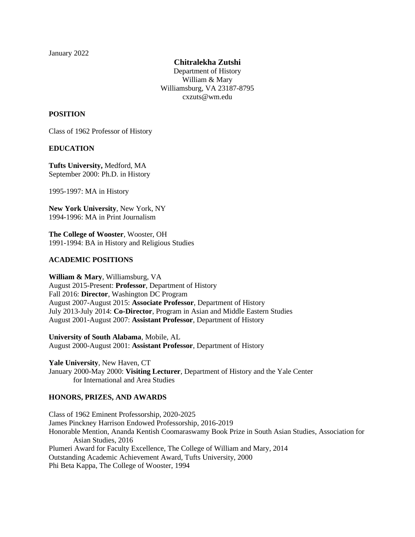January 2022

**Chitralekha Zutshi**

Department of History William & Mary Williamsburg, VA 23187-8795 cxzuts@wm.edu

### **POSITION**

Class of 1962 Professor of History

### **EDUCATION**

**Tufts University,** Medford, MA September 2000: Ph.D. in History

1995-1997: MA in History

**New York University**, New York, NY 1994-1996: MA in Print Journalism

**The College of Wooster**, Wooster, OH 1991-1994: BA in History and Religious Studies

### **ACADEMIC POSITIONS**

**William & Mary**, Williamsburg, VA August 2015-Present: **Professor**, Department of History Fall 2016: **Director**, Washington DC Program August 2007-August 2015: **Associate Professor**, Department of History July 2013-July 2014: **Co-Director**, Program in Asian and Middle Eastern Studies August 2001-August 2007: **Assistant Professor**, Department of History

**University of South Alabama**, Mobile, AL August 2000-August 2001: **Assistant Professor**, Department of History

**Yale University**, New Haven, CT January 2000-May 2000: **Visiting Lecturer**, Department of History and the Yale Center for International and Area Studies

## **HONORS, PRIZES, AND AWARDS**

Class of 1962 Eminent Professorship, 2020-2025 James Pinckney Harrison Endowed Professorship, 2016-2019 Honorable Mention, Ananda Kentish Coomaraswamy Book Prize in South Asian Studies, Association for Asian Studies, 2016 Plumeri Award for Faculty Excellence, The College of William and Mary, 2014 Outstanding Academic Achievement Award, Tufts University, 2000 Phi Beta Kappa, The College of Wooster, 1994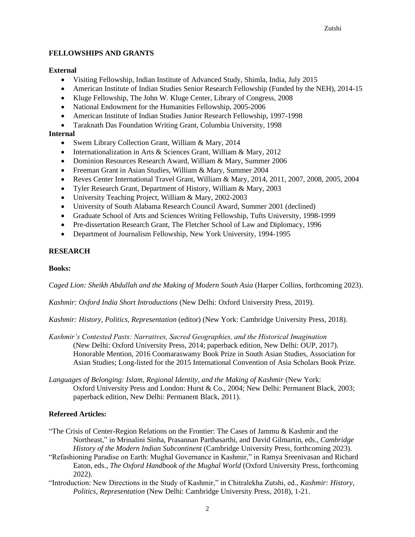### **FELLOWSHIPS AND GRANTS**

#### **External**

- Visiting Fellowship, Indian Institute of Advanced Study, Shimla, India, July 2015
- American Institute of Indian Studies Senior Research Fellowship (Funded by the NEH), 2014-15
- Kluge Fellowship, The John W. Kluge Center, Library of Congress, 2008
- National Endowment for the Humanities Fellowship, 2005-2006
- American Institute of Indian Studies Junior Research Fellowship, 1997-1998
- Taraknath Das Foundation Writing Grant, Columbia University, 1998

### **Internal**

- Swem Library Collection Grant, William & Mary, 2014
- Internationalization in Arts & Sciences Grant, William & Mary, 2012
- Dominion Resources Research Award, William & Mary, Summer 2006
- Freeman Grant in Asian Studies, William & Mary, Summer 2004
- Reves Center International Travel Grant, William & Mary, 2014, 2011, 2007, 2008, 2005, 2004
- Tyler Research Grant, Department of History, William & Mary, 2003
- University Teaching Project, William & Mary, 2002-2003
- University of South Alabama Research Council Award, Summer 2001 (declined)
- Graduate School of Arts and Sciences Writing Fellowship, Tufts University, 1998-1999
- Pre-dissertation Research Grant, The Fletcher School of Law and Diplomacy, 1996
- Department of Journalism Fellowship, New York University, 1994-1995

### **RESEARCH**

#### **Books:**

*Caged Lion: Sheikh Abdullah and the Making of Modern South Asia* (Harper Collins, forthcoming 2023).

*Kashmir: Oxford India Short Introductions* (New Delhi: Oxford University Press, 2019).

*Kashmir: History, Politics, Representation* (editor) (New York: Cambridge University Press, 2018).

- *Kashmir's Contested Pasts: Narratives, Sacred Geographies, and the Historical Imagination* (New Delhi: Oxford University Press, 2014; paperback edition, New Delhi: OUP, 2017). Honorable Mention, 2016 Coomaraswamy Book Prize in South Asian Studies, Association for Asian Studies; Long-listed for the 2015 International Convention of Asia Scholars Book Prize.
- *Languages of Belonging: Islam, Regional Identity, and the Making of Kashmir* (New York: Oxford University Press and London: Hurst & Co., 2004; New Delhi: Permanent Black, 2003; paperback edition, New Delhi: Permanent Black, 2011).

## **Refereed Articles:**

- "The Crisis of Center-Region Relations on the Frontier: The Cases of Jammu & Kashmir and the Northeast," in Mrinalini Sinha, Prasannan Parthasarthi, and David Gilmartin, eds., *Cambridge History of the Modern Indian Subcontinent* (Cambridge University Press, forthcoming 2023).
- "Refashioning Paradise on Earth: Mughal Governance in Kashmir," in Ramya Sreenivasan and Richard Eaton, eds., *The Oxford Handbook of the Mughal World* (Oxford University Press, forthcoming 2022).
- "Introduction: New Directions in the Study of Kashmir," in Chitralekha Zutshi, ed., *Kashmir: History, Politics, Representation* (New Delhi: Cambridge University Press, 2018), 1-21.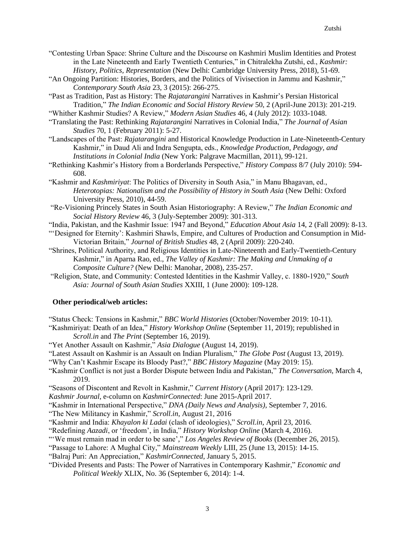- "Contesting Urban Space: Shrine Culture and the Discourse on Kashmiri Muslim Identities and Protest in the Late Nineteenth and Early Twentieth Centuries," in Chitralekha Zutshi, ed., *Kashmir: History, Politics, Representation* (New Delhi: Cambridge University Press, 2018), 51-69.
- "An Ongoing Partition: Histories, Borders, and the Politics of Vivisection in Jammu and Kashmir," *Contemporary South Asia* 23, 3 (2015): 266-275.
- "Past as Tradition, Past as History: The *Rajatarangini* Narratives in Kashmir's Persian Historical Tradition," *The Indian Economic and Social History Review* 50, 2 (April-June 2013): 201-219.
- "Whither Kashmir Studies? A Review," *Modern Asian Studies* 46, 4 (July 2012): 1033-1048.
- "Translating the Past: Rethinking *Rajatarangini* Narratives in Colonial India," *The Journal of Asian Studies* 70, 1 (February 2011): 5-27.
- "Landscapes of the Past: *Rajatarangini* and Historical Knowledge Production in Late-Nineteenth-Century Kashmir," in Daud Ali and Indra Sengupta, eds., *Knowledge Production, Pedagogy, and Institutions in Colonial India* (New York: Palgrave Macmillan, 2011), 99-121.
- "Rethinking Kashmir's History from a Borderlands Perspective," *History Compass* 8/7 (July 2010): 594- 608.
- "Kashmir and *Kashmiriyat*: The Politics of Diversity in South Asia," in Manu Bhagavan, ed., *Heterotopias: Nationalism and the Possibility of History in South Asia* (New Delhi: Oxford University Press, 2010), 44-59.
- "Re-Visioning Princely States in South Asian Historiography: A Review," *The Indian Economic and Social History Review* 46, 3 (July-September 2009): 301-313.
- "India, Pakistan, and the Kashmir Issue: 1947 and Beyond," *Education About Asia* 14, 2 (Fall 2009): 8-13.
- "'Designed for Eternity': Kashmiri Shawls, Empire, and Cultures of Production and Consumption in Mid-Victorian Britain," *Journal of British Studies* 48, 2 (April 2009): 220-240.
- "Shrines, Political Authority, and Religious Identities in Late-Nineteenth and Early-Twentieth-Century Kashmir," in Aparna Rao, ed., *The Valley of Kashmir: The Making and Unmaking of a Composite Culture?* (New Delhi: Manohar, 2008), 235-257.
- "Religion, State, and Community: Contested Identities in the Kashmir Valley, c. 1880-1920," *South Asia: Journal of South Asian Studies* XXIII, 1 (June 2000): 109-128.

## **Other periodical/web articles:**

- "Status Check: Tensions in Kashmir," *BBC World Histories* (October/November 2019: 10-11).
- "Kashmiriyat: Death of an Idea," *History Workshop Online* (September 11, 2019); republished in *Scroll.in* and *The Print* (September 16, 2019).
- "Yet Another Assault on Kashmir," *Asia Dialogue* (August 14, 2019).
- "Latest Assault on Kashmir is an Assault on Indian Pluralism," *The Globe Post* (August 13, 2019).
- "Why Can't Kashmir Escape its Bloody Past?," *BBC History Magazine* (May 2019: 15).
- "Kashmir Conflict is not just a Border Dispute between India and Pakistan," *The Conversation*, March 4, 2019.
- "Seasons of Discontent and Revolt in Kashmir," *Current History* (April 2017): 123-129.
- *Kashmir Journal*, e-column on *KashmirConnected*: June 2015-April 2017.

"Kashmir in International Perspective," *DNA (Daily News and Analysis)*, September 7, 2016.

- "The New Militancy in Kashmir," *Scroll.in*, August 21, 2016
- "Kashmir and India: *Khayalon ki Ladai* (clash of ideologies)," *Scroll.in*, April 23, 2016.
- "Redefining *Aazadi*, or 'freedom', in India," *History Workshop Online* (March 4, 2016).
- "'We must remain mad in order to be sane'," *Los Angeles Review of Books* (December 26, 2015).
- "Passage to Lahore: A Mughal City," *Mainstream Weekly* LIII, 25 (June 13, 2015): 14-15.
- "Balraj Puri: An Appreciation," *KashmirConnected*, January 5, 2015.
- "Divided Presents and Pasts: The Power of Narratives in Contemporary Kashmir," *Economic and Political Weekly* XLIX, No. 36 (September 6, 2014): 1-4.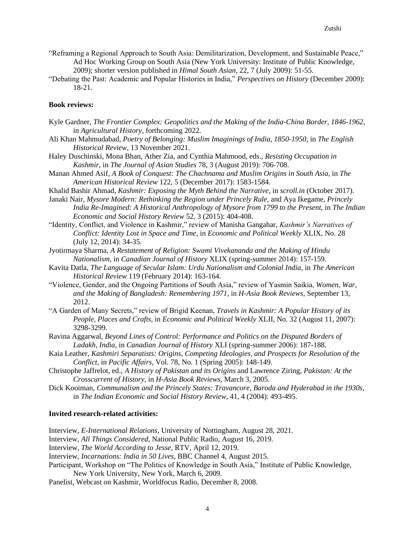- "Reframing a Regional Approach to South Asia: Demilitarization, Development, and Sustainable Peace," Ad Hoc Working Group on South Asia (New York University: Institute of Public Knowledge, 2009); shorter version published in *Himal South Asian*, 22, 7 (July 2009): 51-55.
- "Debating the Past: Academic and Popular Histories in India," *Perspectives on History* (December 2009): 18-21.

#### **Book reviews:**

- Kyle Gardner, *The Frontier Complex: Geopolitics and the Making of the India-China Border, 1846-1962*, in *Agricultural History*, forthcoming 2022.
- Ali Khan Mahmudabad, *Poetry of Belonging: Muslim Imaginings of India, 1850-1950*, in *The English Historical Review*, 13 November 2021.
- Haley Duschinski, Mona Bhan, Ather Zia, and Cynthia Mahmood, eds., *Resisting Occupation in Kashmir*, in *The Journal of Asian Studies* 78, 3 (August 2019): 706-708.
- Manan Ahmed Asif, *A Book of Conquest: The Chachnama and Muslim Origins in South Asia*, in *The American Historical Review* 122, 5 (December 2017): 1583-1584.
- Khalid Bashir Ahmad, *Kashmir: Exposing the Myth Behind the Narrative*, in *scroll.in* (October 2017).
- Janaki Nair, *Mysore Modern: Rethinking the Region under Princely Rule*, and Aya Ikegame, *Princely India Re-Imagined: A Historical Anthropology of Mysore from 1799 to the Present*, in *The Indian Economic and Social History Review* 52, 3 (2015): 404-408.
- "Identity, Conflict, and Violence in Kashmir," review of Manisha Gangahar, *Kashmir's Narratives of Conflict: Identity Lost in Space and Time*, in *Economic and Political Weekly* XLIX, No. 28 (July 12, 2014): 34-35.
- Jyotirmaya Sharma, *A Restatement of Religion: Swami Vivekananda and the Making of Hindu Nationalism*, in *Canadian Journal of History* XLIX (spring-summer 2014): 157-159.
- Kavita Datla, *The Language of Secular Islam: Urdu Nationalism and Colonial India*, in *The American Historical Review* 119 (February 2014): 163-164.
- "Violence, Gender, and the Ongoing Partitions of South Asia," review of Yasmin Saikia, *Women, War, and the Making of Bangladesh: Remembering 1971*, in *H-Asia Book Reviews*, September 13, 2012.
- "A Garden of Many Secrets," review of Brigid Keenan, *Travels in Kashmir: A Popular History of its People, Places and Crafts*, in *Economic and Political Weekly* XLII, No. 32 (August 11, 2007): 3298-3299.
- Ravina Aggarwal, *Beyond Lines of Control: Performance and Politics on the Disputed Borders of Ladakh, India*, in *Canadian Journal of History* XLI (spring-summer 2006): 187-188.
- Kaia Leather, *Kashmiri Separatists: Origins, Competing Ideologies, and Prospects for Resolution of the Conflict*, in *Pacific Affairs*, Vol. 78, No. 1 (Spring 2005): 148-149.
- Christophe Jaffrelot, ed., *A History of Pakistan and its Origins* and Lawrence Ziring, *Pakistan: At the Crosscurrent of History*, in *H-Asia Book Reviews*, March 3, 2005.
- Dick Kooiman, *Communalism and the Princely States: Travancore, Baroda and Hyderabad in the 1930s*, in *The Indian Economic and Social History Review*, 41, 4 (2004): 493-495.

#### **Invited research-related activities:**

Interview, *E-International Relations*, University of Nottingham, August 28, 2021.

- Interview, *All Things Considered*, National Public Radio, August 16, 2019.
- Interview, *The World According to Jesse*, RTV, April 12, 2019.
- Interview, *Incarnations: India in 50 Lives*, BBC Channel 4, August 2015.
- Participant, Workshop on "The Politics of Knowledge in South Asia," Institute of Public Knowledge, New York University, New York, March 6, 2009.
- Panelist, Webcast on Kashmir, Worldfocus Radio, December 8, 2008.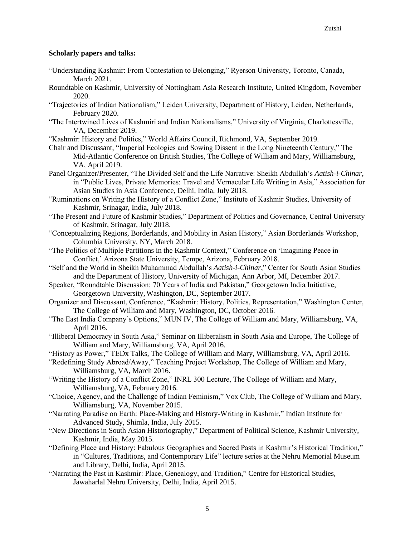### **Scholarly papers and talks:**

- "Understanding Kashmir: From Contestation to Belonging," Ryerson University, Toronto, Canada, March 2021.
- Roundtable on Kashmir, University of Nottingham Asia Research Institute, United Kingdom, November 2020.
- "Trajectories of Indian Nationalism," Leiden University, Department of History, Leiden, Netherlands, February 2020.
- "The Intertwined Lives of Kashmiri and Indian Nationalisms," University of Virginia, Charlottesville, VA, December 2019.
- "Kashmir: History and Politics," World Affairs Council, Richmond, VA, September 2019.
- Chair and Discussant, "Imperial Ecologies and Sowing Dissent in the Long Nineteenth Century," The Mid-Atlantic Conference on British Studies, The College of William and Mary, Williamsburg, VA, April 2019.
- Panel Organizer/Presenter, "The Divided Self and the Life Narrative: Sheikh Abdullah's *Aatish-i-Chinar*, in "Public Lives, Private Memories: Travel and Vernacular Life Writing in Asia," Association for Asian Studies in Asia Conference, Delhi, India, July 2018.
- "Ruminations on Writing the History of a Conflict Zone," Institute of Kashmir Studies, University of Kashmir, Srinagar, India, July 2018.
- "The Present and Future of Kashmir Studies," Department of Politics and Governance, Central University of Kashmir, Srinagar, July 2018.
- "Conceptualizing Regions, Borderlands, and Mobility in Asian History," Asian Borderlands Workshop, Columbia University, NY, March 2018.
- "The Politics of Multiple Partitions in the Kashmir Context," Conference on 'Imagining Peace in Conflict,' Arizona State University, Tempe, Arizona, February 2018.
- "Self and the World in Sheikh Muhammad Abdullah's *Aatish-i-Chinar*," Center for South Asian Studies and the Department of History, University of Michigan, Ann Arbor, MI, December 2017.
- Speaker, "Roundtable Discussion: 70 Years of India and Pakistan," Georgetown India Initiative, Georgetown University,Washington, DC, September 2017.
- Organizer and Discussant, Conference, "Kashmir: History, Politics, Representation," Washington Center, The College of William and Mary, Washington, DC, October 2016.
- "The East India Company's Options," MUN IV, The College of William and Mary, Williamsburg, VA, April 2016.
- "Illiberal Democracy in South Asia," Seminar on Illiberalism in South Asia and Europe, The College of William and Mary, Williamsburg, VA, April 2016.
- "History as Power," TEDx Talks, The College of William and Mary, Williamsburg, VA, April 2016.
- "Redefining Study Abroad/Away," Teaching Project Workshop, The College of William and Mary, Williamsburg, VA, March 2016.
- "Writing the History of a Conflict Zone," INRL 300 Lecture, The College of William and Mary, Williamsburg, VA, February 2016.
- "Choice, Agency, and the Challenge of Indian Feminism," Vox Club, The College of William and Mary, Williamsburg, VA, November 2015.
- "Narrating Paradise on Earth: Place-Making and History-Writing in Kashmir," Indian Institute for Advanced Study, Shimla, India, July 2015.
- "New Directions in South Asian Historiography," Department of Political Science, Kashmir University, Kashmir, India, May 2015.
- "Defining Place and History: Fabulous Geographies and Sacred Pasts in Kashmir's Historical Tradition," in "Cultures, Traditions, and Contemporary Life" lecture series at the Nehru Memorial Museum and Library, Delhi, India, April 2015.
- "Narrating the Past in Kashmir: Place, Genealogy, and Tradition," Centre for Historical Studies, Jawaharlal Nehru University, Delhi, India, April 2015.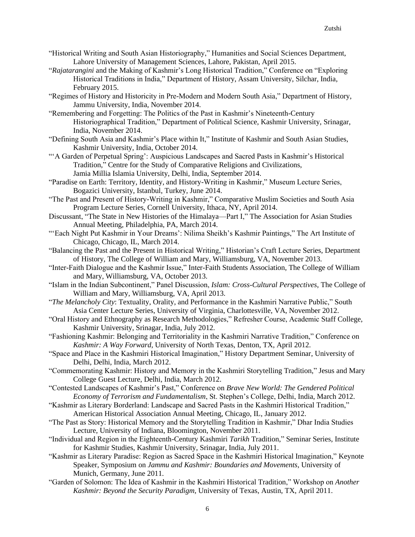- "Historical Writing and South Asian Historiography," Humanities and Social Sciences Department, Lahore University of Management Sciences, Lahore, Pakistan, April 2015.
- "*Rajatarangini* and the Making of Kashmir's Long Historical Tradition," Conference on "Exploring Historical Traditions in India," Department of History, Assam University, Silchar, India, February 2015.
- "Regimes of History and Historicity in Pre-Modern and Modern South Asia," Department of History, Jammu University, India, November 2014.
- "Remembering and Forgetting: The Politics of the Past in Kashmir's Nineteenth-Century Historiographical Tradition," Department of Political Science, Kashmir University, Srinagar, India, November 2014.
- "Defining South Asia and Kashmir's Place within It," Institute of Kashmir and South Asian Studies, Kashmir University, India, October 2014.
- "'A Garden of Perpetual Spring': Auspicious Landscapes and Sacred Pasts in Kashmir's Historical Tradition," Centre for the Study of Comparative Religions and Civilizations, Jamia Millia Islamia University, Delhi, India, September 2014.
- "Paradise on Earth: Territory, Identity, and History-Writing in Kashmir," Museum Lecture Series, Bogazici University, Istanbul, Turkey, June 2014.
- "The Past and Present of History-Writing in Kashmir," Comparative Muslim Societies and South Asia Program Lecture Series, Cornell University, Ithaca, NY, April 2014.
- Discussant, "The State in New Histories of the Himalaya—Part I," The Association for Asian Studies Annual Meeting, Philadelphia, PA, March 2014.
- "'Each Night Put Kashmir in Your Dreams': Nilima Sheikh's Kashmir Paintings," The Art Institute of Chicago, Chicago, IL, March 2014.
- "Balancing the Past and the Present in Historical Writing," Historian's Craft Lecture Series, Department of History, The College of William and Mary, Williamsburg, VA, November 2013.
- "Inter-Faith Dialogue and the Kashmir Issue," Inter-Faith Students Association, The College of William and Mary, Williamsburg, VA, October 2013.
- "Islam in the Indian Subcontinent," Panel Discussion, *Islam: Cross-Cultural Perspectives*, The College of William and Mary, Williamsburg, VA, April 2013.
- "*The Melancholy City*: Textuality, Orality, and Performance in the Kashmiri Narrative Public," South Asia Center Lecture Series, University of Virginia, Charlottesville, VA, November 2012.
- "Oral History and Ethnography as Research Methodologies," Refresher Course, Academic Staff College, Kashmir University, Srinagar, India, July 2012.
- "Fashioning Kashmir: Belonging and Territoriality in the Kashmiri Narrative Tradition," Conference on *Kashmir: A Way Forward*, University of North Texas, Denton, TX, April 2012.
- "Space and Place in the Kashmiri Historical Imagination," History Department Seminar, University of Delhi, Delhi, India, March 2012.
- "Commemorating Kashmir: History and Memory in the Kashmiri Storytelling Tradition," Jesus and Mary College Guest Lecture, Delhi, India, March 2012.
- "Contested Landscapes of Kashmir's Past," Conference on *Brave New World: The Gendered Political Economy of Terrorism and Fundamentalism*, St. Stephen's College, Delhi, India, March 2012.
- "Kashmir as Literary Borderland: Landscape and Sacred Pasts in the Kashmiri Historical Tradition," American Historical Association Annual Meeting, Chicago, IL, January 2012.
- "The Past as Story: Historical Memory and the Storytelling Tradition in Kashmir," Dhar India Studies Lecture, University of Indiana, Bloomington, November 2011.
- "Individual and Region in the Eighteenth-Century Kashmiri *Tarikh* Tradition," Seminar Series, Institute for Kashmir Studies, Kashmir University, Srinagar, India, July 2011.
- "Kashmir as Literary Paradise: Region as Sacred Space in the Kashmiri Historical Imagination," Keynote Speaker, Symposium on *Jammu and Kashmir: Boundaries and Movements*, University of Munich, Germany, June 2011.
- "Garden of Solomon: The Idea of Kashmir in the Kashmiri Historical Tradition," Workshop on *Another Kashmir: Beyond the Security Paradigm*, University of Texas, Austin, TX, April 2011.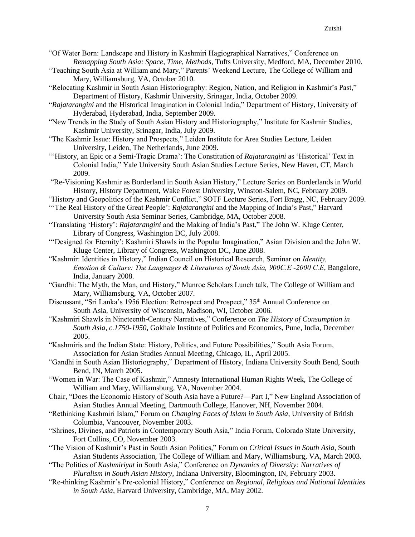- "Of Water Born: Landscape and History in Kashmiri Hagiographical Narratives," Conference on *Remapping South Asia: Space, Time, Methods*, Tufts University, Medford, MA, December 2010.
- "Teaching South Asia at William and Mary," Parents' Weekend Lecture, The College of William and Mary, Williamsburg, VA, October 2010.
- "Relocating Kashmir in South Asian Historiography: Region, Nation, and Religion in Kashmir's Past," Department of History, Kashmir University, Srinagar, India, October 2009.
- "*Rajatarangini* and the Historical Imagination in Colonial India," Department of History, University of Hyderabad, Hyderabad, India, September 2009.
- "New Trends in the Study of South Asian History and Historiography," Institute for Kashmir Studies, Kashmir University, Srinagar, India, July 2009.
- "The Kashmir Issue: History and Prospects," Leiden Institute for Area Studies Lecture, Leiden University, Leiden, The Netherlands, June 2009.
- "'History, an Epic or a Semi-Tragic Drama': The Constitution of *Rajatarangini* as 'Historical' Text in Colonial India," Yale University South Asian Studies Lecture Series, New Haven, CT, March 2009.
- "Re-Visioning Kashmir as Borderland in South Asian History," Lecture Series on Borderlands in World History, History Department, Wake Forest University, Winston-Salem, NC, February 2009.
- "History and Geopolitics of the Kashmir Conflict," SOTF Lecture Series, Fort Bragg, NC, February 2009.
- "The Real History of the Great People': *Rajatarangini* and the Mapping of India's Past," Harvard University South Asia Seminar Series, Cambridge, MA, October 2008.
- "Translating 'History': *Rajatarangini* and the Making of India's Past," The John W. Kluge Center, Library of Congress, Washington DC, July 2008.
- "'Designed for Eternity': Kashmiri Shawls in the Popular Imagination," Asian Division and the John W. Kluge Center, Library of Congress, Washington DC, June 2008.
- "Kashmir: Identities in History," Indian Council on Historical Research, Seminar on *Identity, Emotion & Culture: The Languages & Literatures of South Asia, 900C.E -2000 C.E*, Bangalore, India, January 2008.
- "Gandhi: The Myth, the Man, and History," Munroe Scholars Lunch talk, The College of William and Mary, Williamsburg, VA, October 2007.
- Discussant, "Sri Lanka's 1956 Election: Retrospect and Prospect," 35<sup>th</sup> Annual Conference on South Asia, University of Wisconsin, Madison, WI, October 2006.
- "Kashmiri Shawls in Nineteenth-Century Narratives," Conference on *The History of Consumption in South Asia, c.1750-1950*, Gokhale Institute of Politics and Economics, Pune, India, December 2005.
- "Kashmiris and the Indian State: History, Politics, and Future Possibilities," South Asia Forum, Association for Asian Studies Annual Meeting, Chicago, IL, April 2005.
- "Gandhi in South Asian Historiography," Department of History, Indiana University South Bend, South Bend, IN, March 2005.
- "Women in War: The Case of Kashmir," Amnesty International Human Rights Week, The College of William and Mary, Williamsburg, VA, November 2004.
- Chair, "Does the Economic History of South Asia have a Future?—Part I," New England Association of Asian Studies Annual Meeting, Dartmouth College, Hanover, NH, November 2004.
- "Rethinking Kashmiri Islam," Forum on *Changing Faces of Islam in South Asia*, University of British Columbia, Vancouver, November 2003.
- "Shrines, Divines, and Patriots in Contemporary South Asia," India Forum, Colorado State University, Fort Collins, CO, November 2003.
- "The Vision of Kashmir's Past in South Asian Politics," Forum on *Critical Issues in South Asia*, South Asian Students Association, The College of William and Mary, Williamsburg, VA, March 2003.
- "The Politics of *Kashmiriyat* in South Asia," Conference on *Dynamics of Diversity: Narratives of Pluralism in South Asian History*, Indiana University, Bloomington, IN, February 2003.
- "Re-thinking Kashmir's Pre-colonial History," Conference on *Regional, Religious and National Identities in South Asia*, Harvard University, Cambridge, MA, May 2002.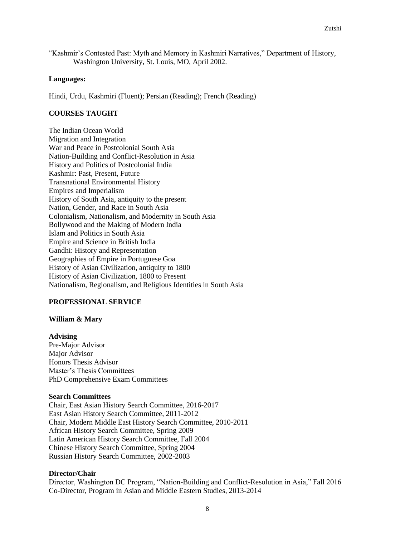"Kashmir's Contested Past: Myth and Memory in Kashmiri Narratives," Department of History, Washington University, St. Louis, MO, April 2002.

#### **Languages:**

Hindi, Urdu, Kashmiri (Fluent); Persian (Reading); French (Reading)

## **COURSES TAUGHT**

The Indian Ocean World Migration and Integration War and Peace in Postcolonial South Asia Nation-Building and Conflict-Resolution in Asia History and Politics of Postcolonial India Kashmir: Past, Present, Future Transnational Environmental History Empires and Imperialism History of South Asia, antiquity to the present Nation, Gender, and Race in South Asia Colonialism, Nationalism, and Modernity in South Asia Bollywood and the Making of Modern India Islam and Politics in South Asia Empire and Science in British India Gandhi: History and Representation Geographies of Empire in Portuguese Goa History of Asian Civilization, antiquity to 1800 History of Asian Civilization, 1800 to Present Nationalism, Regionalism, and Religious Identities in South Asia

#### **PROFESSIONAL SERVICE**

#### **William & Mary**

#### **Advising**

Pre-Major Advisor Major Advisor Honors Thesis Advisor Master's Thesis Committees PhD Comprehensive Exam Committees

#### **Search Committees**

Chair, East Asian History Search Committee, 2016-2017 East Asian History Search Committee, 2011-2012 Chair, Modern Middle East History Search Committee, 2010-2011 African History Search Committee, Spring 2009 Latin American History Search Committee, Fall 2004 Chinese History Search Committee, Spring 2004 Russian History Search Committee, 2002-2003

### **Director/Chair**

Director, Washington DC Program, "Nation-Building and Conflict-Resolution in Asia," Fall 2016 Co-Director, Program in Asian and Middle Eastern Studies, 2013-2014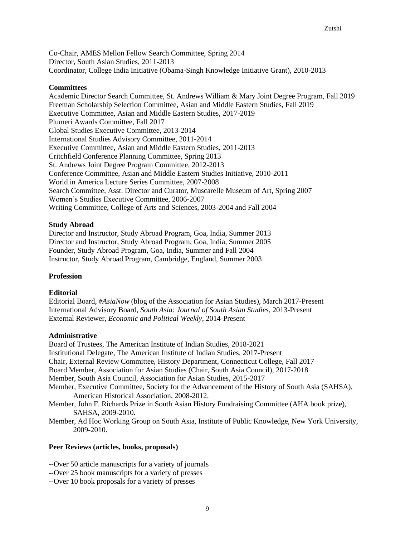Co-Chair, AMES Mellon Fellow Search Committee, Spring 2014 Director, South Asian Studies, 2011-2013 Coordinator, College India Initiative (Obama-Singh Knowledge Initiative Grant), 2010-2013

### **Committees**

Academic Director Search Committee, St. Andrews William & Mary Joint Degree Program, Fall 2019 Freeman Scholarship Selection Committee, Asian and Middle Eastern Studies, Fall 2019 Executive Committee, Asian and Middle Eastern Studies, 2017-2019 Plumeri Awards Committee, Fall 2017 Global Studies Executive Committee, 2013-2014 International Studies Advisory Committee, 2011-2014 Executive Committee, Asian and Middle Eastern Studies, 2011-2013 Critchfield Conference Planning Committee, Spring 2013 St. Andrews Joint Degree Program Committee, 2012-2013 Conference Committee, Asian and Middle Eastern Studies Initiative, 2010-2011 World in America Lecture Series Committee, 2007-2008 Search Committee, Asst. Director and Curator, Muscarelle Museum of Art, Spring 2007 Women's Studies Executive Committee, 2006-2007 Writing Committee, College of Arts and Sciences, 2003-2004 and Fall 2004

### **Study Abroad**

Director and Instructor, Study Abroad Program, Goa, India, Summer 2013 Director and Instructor, Study Abroad Program, Goa, India, Summer 2005 Founder, Study Abroad Program, Goa, India, Summer and Fall 2004 Instructor, Study Abroad Program, Cambridge, England, Summer 2003

## **Profession**

#### **Editorial**

Editorial Board, *#AsiaNow* (blog of the Association for Asian Studies), March 2017-Present International Advisory Board, *South Asia: Journal of South Asian Studies*, 2013-Present External Reviewer, *Economic and Political Weekly*, 2014-Present

#### **Administrative**

Board of Trustees, The American Institute of Indian Studies, 2018-2021 Institutional Delegate, The American Institute of Indian Studies, 2017-Present Chair, External Review Committee, History Department, Connecticut College, Fall 2017 Board Member, Association for Asian Studies (Chair, South Asia Council), 2017-2018 Member, South Asia Council, Association for Asian Studies, 2015-2017 Member, Executive Committee, Society for the Advancement of the History of South Asia (SAHSA), American Historical Association, 2008-2012. Member, John F. Richards Prize in South Asian History Fundraising Committee (AHA book prize), SAHSA, 2009-2010. Member, Ad Hoc Working Group on South Asia, Institute of Public Knowledge, New York University,

2009-2010.

# **Peer Reviews (articles, books, proposals)**

--Over 50 article manuscripts for a variety of journals

- --Over 25 book manuscripts for a variety of presses
- --Over 10 book proposals for a variety of presses